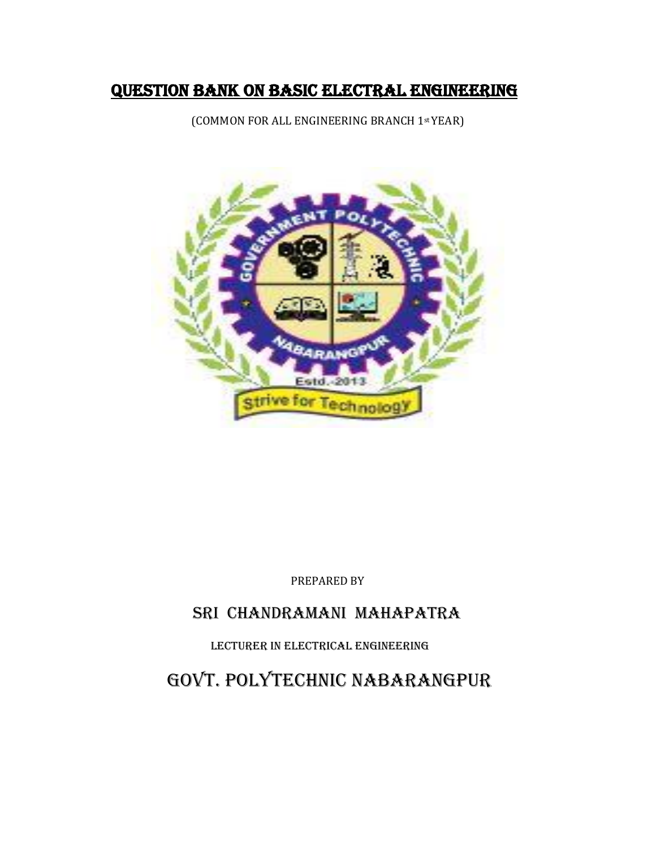#### Question Bank ON BASIC ELECTRal ENGINEERING

(COMMON FOR ALL ENGINEERING BRANCH 1st YEAR)



PREPARED BY

#### Sri chandramani mahapatra

LECTURER IN Electrical ENGINEERING

GOVT. POLYTECHNIC NABARANGPUR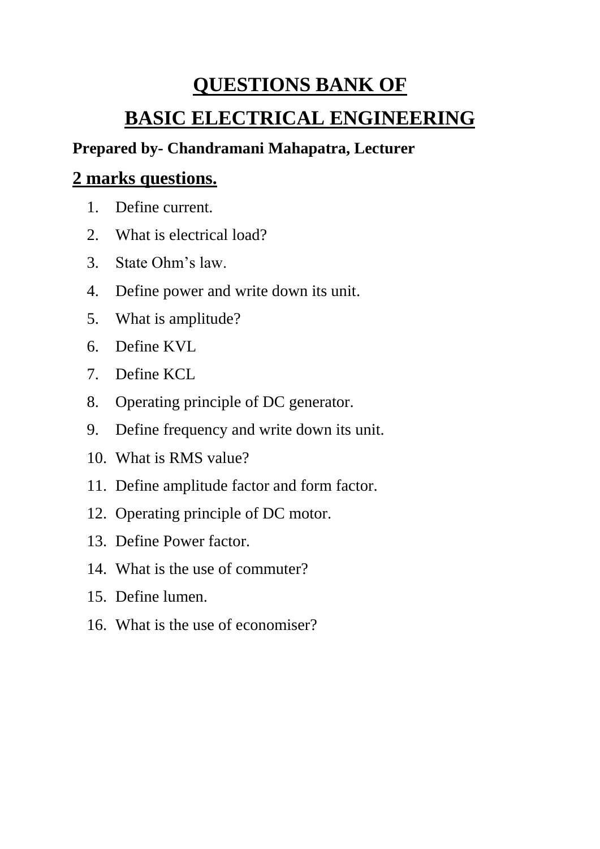# **QUESTIONS BANK OF BASIC ELECTRICAL ENGINEERING**

#### **Prepared by- Chandramani Mahapatra, Lecturer**

## **2 marks questions.**

- 1. Define current.
- 2. What is electrical load?
- 3. State Ohm's law.
- 4. Define power and write down its unit.
- 5. What is amplitude?
- 6. Define KVL
- 7. Define KCL
- 8. Operating principle of DC generator.
- 9. Define frequency and write down its unit.
- 10. What is RMS value?
- 11. Define amplitude factor and form factor.
- 12. Operating principle of DC motor.
- 13. Define Power factor.
- 14. What is the use of commuter?
- 15. Define lumen.
- 16. What is the use of economiser?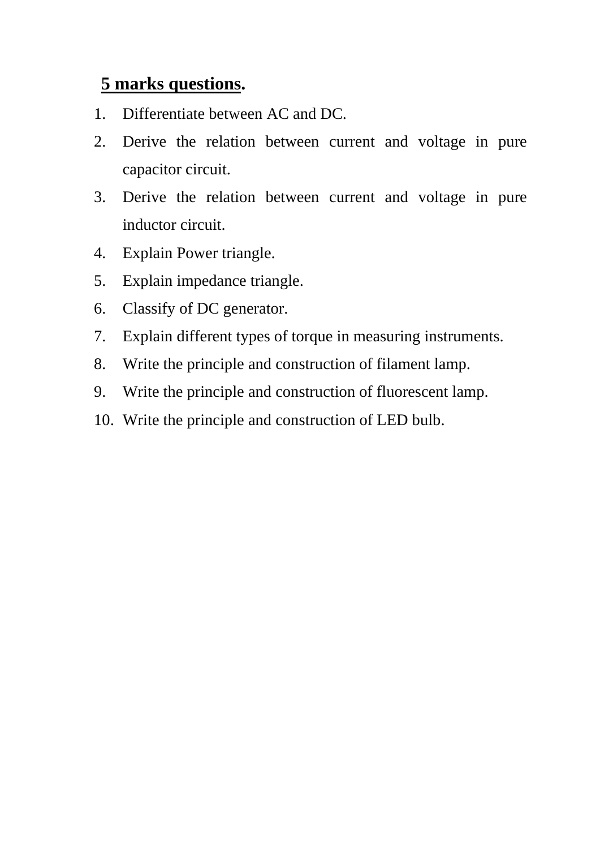## **5 marks questions.**

- 1. Differentiate between AC and DC.
- 2. Derive the relation between current and voltage in pure capacitor circuit.
- 3. Derive the relation between current and voltage in pure inductor circuit.
- 4. Explain Power triangle.
- 5. Explain impedance triangle.
- 6. Classify of DC generator.
- 7. Explain different types of torque in measuring instruments.
- 8. Write the principle and construction of filament lamp.
- 9. Write the principle and construction of fluorescent lamp.
- 10. Write the principle and construction of LED bulb.